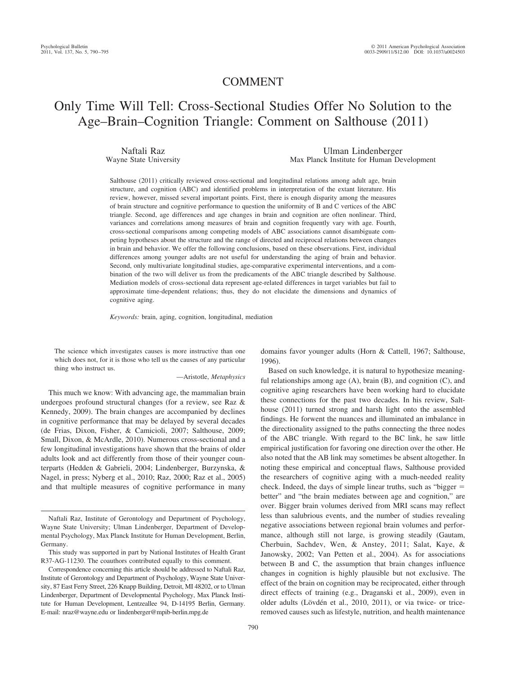## COMMENT

# Only Time Will Tell: Cross-Sectional Studies Offer No Solution to the Age–Brain–Cognition Triangle: Comment on Salthouse (2011)

Naftali Raz Wayne State University

Ulman Lindenberger Max Planck Institute for Human Development

domains favor younger adults (Horn & Cattell, 1967; Salthouse,

Based on such knowledge, it is natural to hypothesize meaningful relationships among age  $(A)$ , brain  $(B)$ , and cognition  $(C)$ , and cognitive aging researchers have been working hard to elucidate these connections for the past two decades. In his review, Salthouse (2011) turned strong and harsh light onto the assembled findings. He forwent the nuances and illuminated an imbalance in the directionality assigned to the paths connecting the three nodes of the ABC triangle. With regard to the BC link, he saw little empirical justification for favoring one direction over the other. He also noted that the AB link may sometimes be absent altogether. In noting these empirical and conceptual flaws, Salthouse provided the researchers of cognitive aging with a much-needed reality check. Indeed, the days of simple linear truths, such as "bigger better" and "the brain mediates between age and cognition," are over. Bigger brain volumes derived from MRI scans may reflect less than salubrious events, and the number of studies revealing negative associations between regional brain volumes and perfor-

Salthouse (2011) critically reviewed cross-sectional and longitudinal relations among adult age, brain structure, and cognition (ABC) and identified problems in interpretation of the extant literature. His review, however, missed several important points. First, there is enough disparity among the measures of brain structure and cognitive performance to question the uniformity of B and C vertices of the ABC triangle. Second, age differences and age changes in brain and cognition are often nonlinear. Third, variances and correlations among measures of brain and cognition frequently vary with age. Fourth, cross-sectional comparisons among competing models of ABC associations cannot disambiguate competing hypotheses about the structure and the range of directed and reciprocal relations between changes in brain and behavior. We offer the following conclusions, based on these observations. First, individual differences among younger adults are not useful for understanding the aging of brain and behavior. Second, only multivariate longitudinal studies, age-comparative experimental interventions, and a combination of the two will deliver us from the predicaments of the ABC triangle described by Salthouse. Mediation models of cross-sectional data represent age-related differences in target variables but fail to approximate time-dependent relations; thus, they do not elucidate the dimensions and dynamics of cognitive aging.

1996).

*Keywords:* brain, aging, cognition, longitudinal, mediation

The science which investigates causes is more instructive than one which does not, for it is those who tell us the causes of any particular thing who instruct us.

—Aristotle, *Metaphysics*

This much we know: With advancing age, the mammalian brain undergoes profound structural changes (for a review, see Raz & Kennedy, 2009). The brain changes are accompanied by declines in cognitive performance that may be delayed by several decades (de Frias, Dixon, Fisher, & Camicioli, 2007; Salthouse, 2009; Small, Dixon, & McArdle, 2010). Numerous cross-sectional and a few longitudinal investigations have shown that the brains of older adults look and act differently from those of their younger counterparts (Hedden & Gabrieli, 2004; Lindenberger, Burzynska, & Nagel, in press; Nyberg et al., 2010; Raz, 2000; Raz et al., 2005) and that multiple measures of cognitive performance in many

mance, although still not large, is growing steadily (Gautam, Cherbuin, Sachdev, Wen, & Anstey, 2011; Salat, Kaye, & Janowsky, 2002; Van Petten et al., 2004). As for associations between B and C, the assumption that brain changes influence changes in cognition is highly plausible but not exclusive. The effect of the brain on cognition may be reciprocated, either through direct effects of training (e.g., Draganski et al., 2009), even in older adults (Lövdén et al., 2010, 2011), or via twice- or trice-

removed causes such as lifestyle, nutrition, and health maintenance

Naftali Raz, Institute of Gerontology and Department of Psychology, Wayne State University; Ulman Lindenberger, Department of Developmental Psychology, Max Planck Institute for Human Development, Berlin, Germany.

This study was supported in part by National Institutes of Health Grant R37-AG-11230. The coauthors contributed equally to this comment.

Correspondence concerning this article should be addressed to Naftali Raz, Institute of Gerontology and Department of Psychology, Wayne State University, 87 East Ferry Street, 226 Knapp Building, Detroit, MI 48202, or to Ulman Lindenberger, Department of Developmental Psychology, Max Planck Institute for Human Development, Lentzeallee 94, D-14195 Berlin, Germany. E-mail: nraz@wayne.edu or lindenberger@mpib-berlin.mpg.de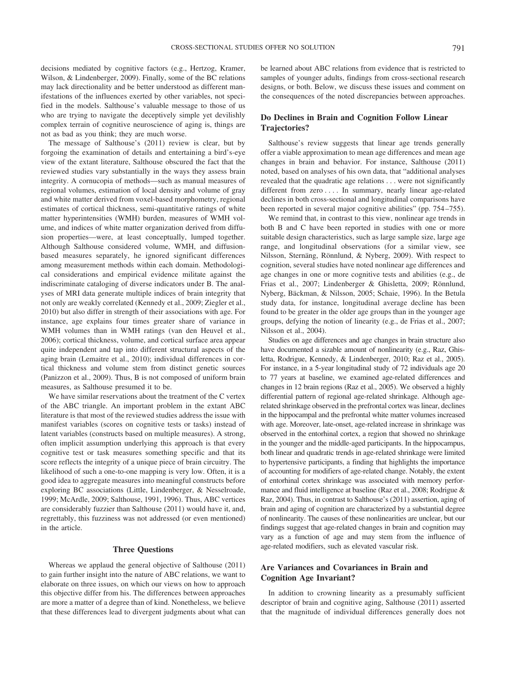decisions mediated by cognitive factors (e.g., Hertzog, Kramer, Wilson, & Lindenberger, 2009). Finally, some of the BC relations may lack directionality and be better understood as different manifestations of the influences exerted by other variables, not specified in the models. Salthouse's valuable message to those of us who are trying to navigate the deceptively simple yet devilishly complex terrain of cognitive neuroscience of aging is, things are not as bad as you think; they are much worse.

The message of Salthouse's (2011) review is clear, but by forgoing the examination of details and entertaining a bird's-eye view of the extant literature, Salthouse obscured the fact that the reviewed studies vary substantially in the ways they assess brain integrity. A cornucopia of methods—such as manual measures of regional volumes, estimation of local density and volume of gray and white matter derived from voxel-based morphometry, regional estimates of cortical thickness, semi-quantitative ratings of white matter hyperintensities (WMH) burden, measures of WMH volume, and indices of white matter organization derived from diffusion properties—were, at least conceptually, lumped together. Although Salthouse considered volume, WMH, and diffusionbased measures separately, he ignored significant differences among measurement methods within each domain. Methodological considerations and empirical evidence militate against the indiscriminate cataloging of diverse indicators under B. The analyses of MRI data generate multiple indices of brain integrity that not only are weakly correlated (Kennedy et al., 2009; Ziegler et al., 2010) but also differ in strength of their associations with age. For instance, age explains four times greater share of variance in WMH volumes than in WMH ratings (van den Heuvel et al., 2006); cortical thickness, volume, and cortical surface area appear quite independent and tap into different structural aspects of the aging brain (Lemaitre et al., 2010); individual differences in cortical thickness and volume stem from distinct genetic sources (Panizzon et al., 2009). Thus, B is not composed of uniform brain measures, as Salthouse presumed it to be.

We have similar reservations about the treatment of the C vertex of the ABC triangle. An important problem in the extant ABC literature is that most of the reviewed studies address the issue with manifest variables (scores on cognitive tests or tasks) instead of latent variables (constructs based on multiple measures). A strong, often implicit assumption underlying this approach is that every cognitive test or task measures something specific and that its score reflects the integrity of a unique piece of brain circuitry. The likelihood of such a one-to-one mapping is very low. Often, it is a good idea to aggregate measures into meaningful constructs before exploring BC associations (Little, Lindenberger, & Nesselroade, 1999; McArdle, 2009; Salthouse, 1991, 1996). Thus, ABC vertices are considerably fuzzier than Salthouse (2011) would have it, and, regrettably, this fuzziness was not addressed (or even mentioned) in the article.

#### **Three Questions**

Whereas we applaud the general objective of Salthouse (2011) to gain further insight into the nature of ABC relations, we want to elaborate on three issues, on which our views on how to approach this objective differ from his. The differences between approaches are more a matter of a degree than of kind. Nonetheless, we believe that these differences lead to divergent judgments about what can be learned about ABC relations from evidence that is restricted to samples of younger adults, findings from cross-sectional research designs, or both. Below, we discuss these issues and comment on the consequences of the noted discrepancies between approaches.

## **Do Declines in Brain and Cognition Follow Linear Trajectories?**

Salthouse's review suggests that linear age trends generally offer a viable approximation to mean age differences and mean age changes in brain and behavior. For instance, Salthouse (2011) noted, based on analyses of his own data, that "additional analyses revealed that the quadratic age relations... were not significantly different from zero . . . . In summary, nearly linear age-related declines in both cross-sectional and longitudinal comparisons have been reported in several major cognitive abilities" (pp. 754 –755).

We remind that, in contrast to this view, nonlinear age trends in both B and C have been reported in studies with one or more suitable design characteristics, such as large sample size, large age range, and longitudinal observations (for a similar view, see Nilsson, Sternäng, Rönnlund, & Nyberg, 2009). With respect to cognition, several studies have noted nonlinear age differences and age changes in one or more cognitive tests and abilities (e.g., de Frias et al., 2007; Lindenberger & Ghisletta, 2009; Rönnlund, Nyberg, Bäckman, & Nilsson, 2005; Schaie, 1996). In the Betula study data, for instance, longitudinal average decline has been found to be greater in the older age groups than in the younger age groups, defying the notion of linearity (e.g., de Frias et al., 2007; Nilsson et al., 2004).

Studies on age differences and age changes in brain structure also have documented a sizable amount of nonlinearity (e.g., Raz, Ghisletta, Rodrigue, Kennedy, & Lindenberger, 2010; Raz et al., 2005). For instance, in a 5-year longitudinal study of 72 individuals age 20 to 77 years at baseline, we examined age-related differences and changes in 12 brain regions (Raz et al., 2005). We observed a highly differential pattern of regional age-related shrinkage. Although agerelated shrinkage observed in the prefrontal cortex was linear, declines in the hippocampal and the prefrontal white matter volumes increased with age. Moreover, late-onset, age-related increase in shrinkage was observed in the entorhinal cortex, a region that showed no shrinkage in the younger and the middle-aged participants. In the hippocampus, both linear and quadratic trends in age-related shrinkage were limited to hypertensive participants, a finding that highlights the importance of accounting for modifiers of age-related change. Notably, the extent of entorhinal cortex shrinkage was associated with memory performance and fluid intelligence at baseline (Raz et al., 2008; Rodrigue & Raz, 2004). Thus, in contrast to Salthouse's (2011) assertion, aging of brain and aging of cognition are characterized by a substantial degree of nonlinearity. The causes of these nonlinearities are unclear, but our findings suggest that age-related changes in brain and cognition may vary as a function of age and may stem from the influence of age-related modifiers, such as elevated vascular risk.

## **Are Variances and Covariances in Brain and Cognition Age Invariant?**

In addition to crowning linearity as a presumably sufficient descriptor of brain and cognitive aging, Salthouse (2011) asserted that the magnitude of individual differences generally does not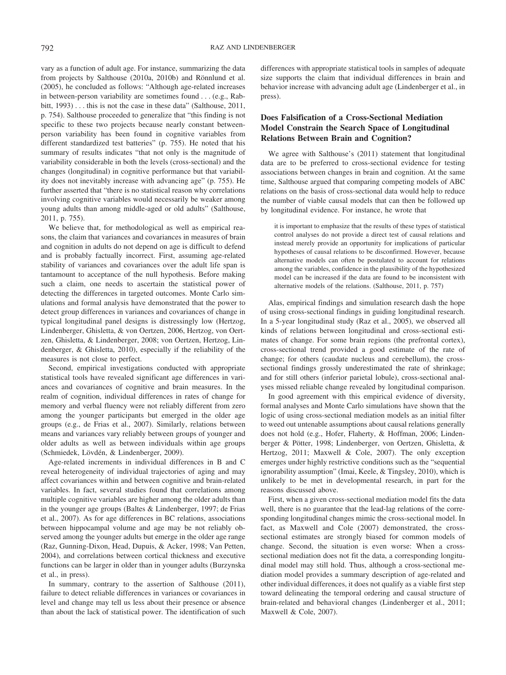vary as a function of adult age. For instance, summarizing the data from projects by Salthouse (2010a, 2010b) and Rönnlund et al. (2005), he concluded as follows: "Although age-related increases in between-person variability are sometimes found... (e.g., Rabbitt, 1993)... this is not the case in these data" (Salthouse, 2011, p. 754). Salthouse proceeded to generalize that "this finding is not specific to these two projects because nearly constant betweenperson variability has been found in cognitive variables from different standardized test batteries" (p. 755). He noted that his summary of results indicates "that not only is the magnitude of variability considerable in both the levels (cross-sectional) and the changes (longitudinal) in cognitive performance but that variability does not inevitably increase with advancing age" (p. 755). He further asserted that "there is no statistical reason why correlations involving cognitive variables would necessarily be weaker among young adults than among middle-aged or old adults" (Salthouse, 2011, p. 755).

We believe that, for methodological as well as empirical reasons, the claim that variances and covariances in measures of brain and cognition in adults do not depend on age is difficult to defend and is probably factually incorrect. First, assuming age-related stability of variances and covariances over the adult life span is tantamount to acceptance of the null hypothesis. Before making such a claim, one needs to ascertain the statistical power of detecting the differences in targeted outcomes. Monte Carlo simulations and formal analysis have demonstrated that the power to detect group differences in variances and covariances of change in typical longitudinal panel designs is distressingly low (Hertzog, Lindenberger, Ghisletta, & von Oertzen, 2006, Hertzog, von Oertzen, Ghisletta, & Lindenberger, 2008; von Oertzen, Hertzog, Lindenberger, & Ghisletta, 2010), especially if the reliability of the measures is not close to perfect.

Second, empirical investigations conducted with appropriate statistical tools have revealed significant age differences in variances and covariances of cognitive and brain measures. In the realm of cognition, individual differences in rates of change for memory and verbal fluency were not reliably different from zero among the younger participants but emerged in the older age groups (e.g., de Frias et al., 2007). Similarly, relations between means and variances vary reliably between groups of younger and older adults as well as between individuals within age groups (Schmiedek, Lövdén, & Lindenberger, 2009).

Age-related increments in individual differences in B and C reveal heterogeneity of individual trajectories of aging and may affect covariances within and between cognitive and brain-related variables. In fact, several studies found that correlations among multiple cognitive variables are higher among the older adults than in the younger age groups (Baltes & Lindenberger, 1997; de Frias et al., 2007). As for age differences in BC relations, associations between hippocampal volume and age may be not reliably observed among the younger adults but emerge in the older age range (Raz, Gunning-Dixon, Head, Dupuis, & Acker, 1998; Van Petten, 2004), and correlations between cortical thickness and executive functions can be larger in older than in younger adults (Burzynska et al., in press).

In summary, contrary to the assertion of Salthouse (2011), failure to detect reliable differences in variances or covariances in level and change may tell us less about their presence or absence than about the lack of statistical power. The identification of such differences with appropriate statistical tools in samples of adequate size supports the claim that individual differences in brain and behavior increase with advancing adult age (Lindenberger et al., in press).

## **Does Falsification of a Cross-Sectional Mediation Model Constrain the Search Space of Longitudinal Relations Between Brain and Cognition?**

We agree with Salthouse's (2011) statement that longitudinal data are to be preferred to cross-sectional evidence for testing associations between changes in brain and cognition. At the same time, Salthouse argued that comparing competing models of ABC relations on the basis of cross-sectional data would help to reduce the number of viable causal models that can then be followed up by longitudinal evidence. For instance, he wrote that

it is important to emphasize that the results of these types of statistical control analyses do not provide a direct test of causal relations and instead merely provide an opportunity for implications of particular hypotheses of causal relations to be disconfirmed. However, because alternative models can often be postulated to account for relations among the variables, confidence in the plausibility of the hypothesized model can be increased if the data are found to be inconsistent with alternative models of the relations. (Salthouse, 2011, p. 757)

Alas, empirical findings and simulation research dash the hope of using cross-sectional findings in guiding longitudinal research. In a 5-year longitudinal study (Raz et al., 2005), we observed all kinds of relations between longitudinal and cross-sectional estimates of change. For some brain regions (the prefrontal cortex), cross-sectional trend provided a good estimate of the rate of change; for others (caudate nucleus and cerebellum), the crosssectional findings grossly underestimated the rate of shrinkage; and for still others (inferior parietal lobule), cross-sectional analyses missed reliable change revealed by longitudinal comparison.

In good agreement with this empirical evidence of diversity, formal analyses and Monte Carlo simulations have shown that the logic of using cross-sectional mediation models as an initial filter to weed out untenable assumptions about causal relations generally does not hold (e.g., Hofer, Flaherty, & Hoffman, 2006; Lindenberger & Pötter, 1998; Lindenberger, von Oertzen, Ghisletta, & Hertzog, 2011; Maxwell & Cole, 2007). The only exception emerges under highly restrictive conditions such as the "sequential ignorability assumption" (Imai, Keele, & Tingsley, 2010), which is unlikely to be met in developmental research, in part for the reasons discussed above.

First, when a given cross-sectional mediation model fits the data well, there is no guarantee that the lead-lag relations of the corresponding longitudinal changes mimic the cross-sectional model. In fact, as Maxwell and Cole (2007) demonstrated, the crosssectional estimates are strongly biased for common models of change. Second, the situation is even worse: When a crosssectional mediation does not fit the data, a corresponding longitudinal model may still hold. Thus, although a cross-sectional mediation model provides a summary description of age-related and other individual differences, it does not qualify as a viable first step toward delineating the temporal ordering and causal structure of brain-related and behavioral changes (Lindenberger et al., 2011; Maxwell & Cole, 2007).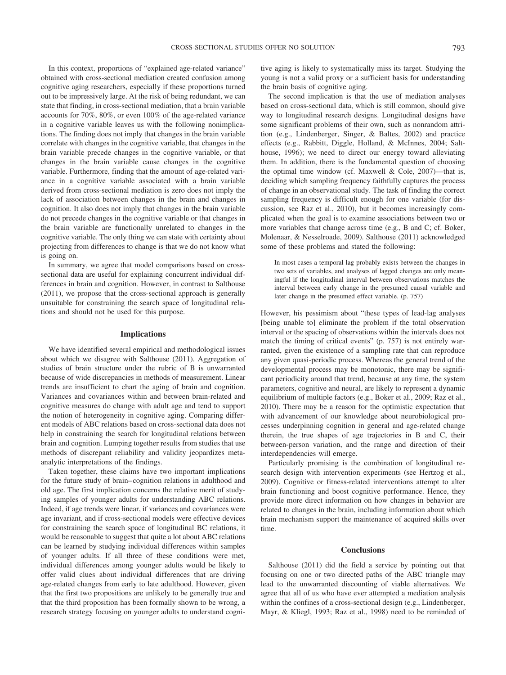In this context, proportions of "explained age-related variance" obtained with cross-sectional mediation created confusion among cognitive aging researchers, especially if these proportions turned out to be impressively large. At the risk of being redundant, we can state that finding, in cross-sectional mediation, that a brain variable accounts for 70%, 80%, or even 100% of the age-related variance in a cognitive variable leaves us with the following nonimplications. The finding does not imply that changes in the brain variable correlate with changes in the cognitive variable, that changes in the brain variable precede changes in the cognitive variable, or that changes in the brain variable cause changes in the cognitive variable. Furthermore, finding that the amount of age-related variance in a cognitive variable associated with a brain variable derived from cross-sectional mediation is zero does not imply the lack of association between changes in the brain and changes in cognition. It also does not imply that changes in the brain variable do not precede changes in the cognitive variable or that changes in the brain variable are functionally unrelated to changes in the cognitive variable. The only thing we can state with certainty about projecting from differences to change is that we do not know what is going on.

In summary, we agree that model comparisons based on crosssectional data are useful for explaining concurrent individual differences in brain and cognition. However, in contrast to Salthouse (2011), we propose that the cross-sectional approach is generally unsuitable for constraining the search space of longitudinal relations and should not be used for this purpose.

#### **Implications**

We have identified several empirical and methodological issues about which we disagree with Salthouse (2011). Aggregation of studies of brain structure under the rubric of B is unwarranted because of wide discrepancies in methods of measurement. Linear trends are insufficient to chart the aging of brain and cognition. Variances and covariances within and between brain-related and cognitive measures do change with adult age and tend to support the notion of heterogeneity in cognitive aging. Comparing different models of ABC relations based on cross-sectional data does not help in constraining the search for longitudinal relations between brain and cognition. Lumping together results from studies that use methods of discrepant reliability and validity jeopardizes metaanalytic interpretations of the findings.

Taken together, these claims have two important implications for the future study of brain– cognition relations in adulthood and old age. The first implication concerns the relative merit of studying samples of younger adults for understanding ABC relations. Indeed, if age trends were linear, if variances and covariances were age invariant, and if cross-sectional models were effective devices for constraining the search space of longitudinal BC relations, it would be reasonable to suggest that quite a lot about ABC relations can be learned by studying individual differences within samples of younger adults. If all three of these conditions were met, individual differences among younger adults would be likely to offer valid clues about individual differences that are driving age-related changes from early to late adulthood. However, given that the first two propositions are unlikely to be generally true and that the third proposition has been formally shown to be wrong, a research strategy focusing on younger adults to understand cognitive aging is likely to systematically miss its target. Studying the young is not a valid proxy or a sufficient basis for understanding the brain basis of cognitive aging.

The second implication is that the use of mediation analyses based on cross-sectional data, which is still common, should give way to longitudinal research designs. Longitudinal designs have some significant problems of their own, such as nonrandom attrition (e.g., Lindenberger, Singer, & Baltes, 2002) and practice effects (e.g., Rabbitt, Diggle, Holland, & McInnes, 2004; Salthouse, 1996); we need to direct our energy toward alleviating them. In addition, there is the fundamental question of choosing the optimal time window (cf. Maxwell & Cole, 2007)—that is, deciding which sampling frequency faithfully captures the process of change in an observational study. The task of finding the correct sampling frequency is difficult enough for one variable (for discussion, see Raz et al., 2010), but it becomes increasingly complicated when the goal is to examine associations between two or more variables that change across time (e.g., B and C; cf. Boker, Molenaar, & Nesselroade, 2009). Salthouse (2011) acknowledged some of these problems and stated the following:

In most cases a temporal lag probably exists between the changes in two sets of variables, and analyses of lagged changes are only meaningful if the longitudinal interval between observations matches the interval between early change in the presumed causal variable and later change in the presumed effect variable. (p. 757)

However, his pessimism about "these types of lead-lag analyses [being unable to] eliminate the problem if the total observation interval or the spacing of observations within the intervals does not match the timing of critical events" (p. 757) is not entirely warranted, given the existence of a sampling rate that can reproduce any given quasi-periodic process. Whereas the general trend of the developmental process may be monotonic, there may be significant periodicity around that trend, because at any time, the system parameters, cognitive and neural, are likely to represent a dynamic equilibrium of multiple factors (e.g., Boker et al., 2009; Raz et al., 2010). There may be a reason for the optimistic expectation that with advancement of our knowledge about neurobiological processes underpinning cognition in general and age-related change therein, the true shapes of age trajectories in B and C, their between-person variation, and the range and direction of their interdependencies will emerge.

Particularly promising is the combination of longitudinal research design with intervention experiments (see Hertzog et al., 2009). Cognitive or fitness-related interventions attempt to alter brain functioning and boost cognitive performance. Hence, they provide more direct information on how changes in behavior are related to changes in the brain, including information about which brain mechanism support the maintenance of acquired skills over time.

### **Conclusions**

Salthouse (2011) did the field a service by pointing out that focusing on one or two directed paths of the ABC triangle may lead to the unwarranted discounting of viable alternatives. We agree that all of us who have ever attempted a mediation analysis within the confines of a cross-sectional design (e.g., Lindenberger, Mayr, & Kliegl, 1993; Raz et al., 1998) need to be reminded of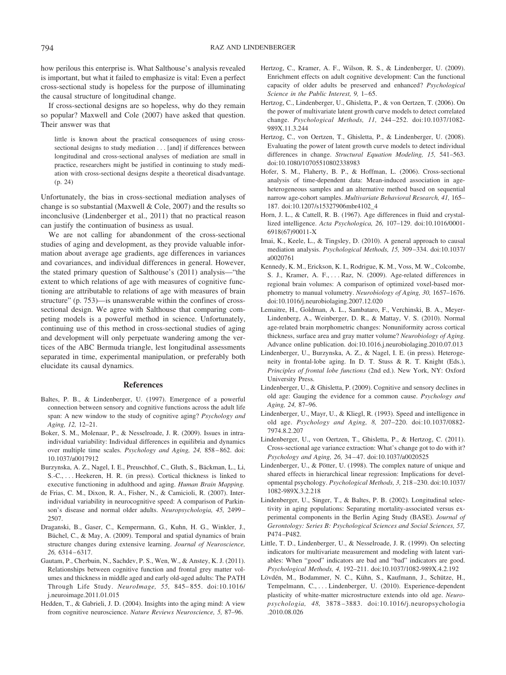how perilous this enterprise is. What Salthouse's analysis revealed is important, but what it failed to emphasize is vital: Even a perfect cross-sectional study is hopeless for the purpose of illuminating the causal structure of longitudinal change.

If cross-sectional designs are so hopeless, why do they remain so popular? Maxwell and Cole (2007) have asked that question. Their answer was that

little is known about the practical consequences of using crosssectional designs to study mediation... [and] if differences between longitudinal and cross-sectional analyses of mediation are small in practice, researchers might be justified in continuing to study mediation with cross-sectional designs despite a theoretical disadvantage. (p. 24)

Unfortunately, the bias in cross-sectional mediation analyses of change is so substantial (Maxwell & Cole, 2007) and the results so inconclusive (Lindenberger et al., 2011) that no practical reason can justify the continuation of business as usual.

We are not calling for abandonment of the cross-sectional studies of aging and development, as they provide valuable information about average age gradients, age differences in variances and covariances, and individual differences in general. However, the stated primary question of Salthouse's (2011) analysis—"the extent to which relations of age with measures of cognitive functioning are attributable to relations of age with measures of brain structure" (p. 753)—is unanswerable within the confines of crosssectional design. We agree with Salthouse that comparing competing models is a powerful method in science. Unfortunately, continuing use of this method in cross-sectional studies of aging and development will only perpetuate wandering among the vertices of the ABC Bermuda triangle, lest longitudinal assessments separated in time, experimental manipulation, or preferably both elucidate its causal dynamics.

#### **References**

- Baltes, P. B., & Lindenberger, U. (1997). Emergence of a powerful connection between sensory and cognitive functions across the adult life span: A new window to the study of cognitive aging? *Psychology and Aging, 12,* 12–21.
- Boker, S. M., Molenaar, P., & Nesselroade, J. R. (2009). Issues in intraindividual variability: Individual differences in equilibria and dynamics over multiple time scales. *Psychology and Aging, 24,* 858 – 862. doi: 10.1037/a0017912
- Burzynska, A. Z., Nagel, I. E., Preuschhof, C., Gluth, S., Bäckman, L., Li, S.-C.,... Heekeren, H. R. (in press). Cortical thickness is linked to executive functioning in adulthood and aging. *Human Brain Mapping.*
- de Frias, C. M., Dixon, R. A., Fisher, N., & Camicioli, R. (2007). Interindividual variability in neurocognitive speed: A comparison of Parkinson's disease and normal older adults. *Neuropsychologia, 45,* 2499 – 2507.
- Draganski, B., Gaser, C., Kempermann, G., Kuhn, H. G., Winkler, J., Büchel, C., & May, A. (2009). Temporal and spatial dynamics of brain structure changes during extensive learning. *Journal of Neuroscience, 26,* 6314 – 6317.
- Gautam, P., Cherbuin, N., Sachdev, P. S., Wen, W., & Anstey, K. J. (2011). Relationships between cognitive function and frontal grey matter volumes and thickness in middle aged and early old-aged adults: The PATH Through Life Study. *NeuroImage, 55,* 845– 855. doi:10.1016/ j.neuroimage.2011.01.015
- Hedden, T., & Gabrieli, J. D. (2004). Insights into the aging mind: A view from cognitive neuroscience. *Nature Reviews Neuroscience, 5,* 87–96.
- Hertzog, C., Kramer, A. F., Wilson, R. S., & Lindenberger, U. (2009). Enrichment effects on adult cognitive development: Can the functional capacity of older adults be preserved and enhanced? *Psychological* Science in the Public Interest, 9, 1-65.
- Hertzog, C., Lindenberger, U., Ghisletta, P., & von Oertzen, T. (2006). On the power of multivariate latent growth curve models to detect correlated change. *Psychological Methods, 11,* 244 –252. doi:10.1037/1082- 989X.11.3.244
- Hertzog, C., von Oertzen, T., Ghisletta, P., & Lindenberger, U. (2008). Evaluating the power of latent growth curve models to detect individual differences in change. *Structural Equation Modeling, 15,* 541–563. doi:10.1080/10705510802338983
- Hofer, S. M., Flaherty, B. P., & Hoffman, L. (2006). Cross-sectional analysis of time-dependent data: Mean-induced association in ageheterogeneous samples and an alternative method based on sequential narrow age-cohort samples. *Multivariate Behavioral Research, 41,* 165– 187. doi:10.1207/s15327906mbr4102\_4
- Horn, J. L., & Cattell, R. B. (1967). Age differences in fluid and crystallized intelligence. *Acta Psychologica, 26,* 107–129. doi:10.1016/0001- 6918(67)90011-X
- Imai, K., Keele, L., & Tingsley, D. (2010). A general approach to causal mediation analysis. *Psychological Methods, 15,* 309 –334. doi:10.1037/ a0020761
- Kennedy, K. M., Erickson, K. I., Rodrigue, K. M., Voss, M. W., Colcombe, S. J., Kramer, A. F.,... Raz, N. (2009). Age-related differences in regional brain volumes: A comparison of optimized voxel-based morphometry to manual volumetry. *Neurobiology of Aging, 30,* 1657–1676. doi:10.1016/j.neurobiolaging.2007.12.020
- Lemaitre, H., Goldman, A. L., Sambataro, F., Verchinski, B. A., Meyer-Lindenberg, A., Weinberger, D. R., & Mattay, V. S. (2010). Normal age-related brain morphometric changes: Nonuniformity across cortical thickness, surface area and gray matter volume? *Neurobiology of Aging.* Advance online publication. doi:10.1016.j.neurobiolaging.2010.07.013
- Lindenberger, U., Burzynska, A. Z., & Nagel, I. E. (in press). Heterogeneity in frontal-lobe aging. In D. T. Stuss & R. T. Knight (Eds.), *Principles of frontal lobe functions* (2nd ed.). New York, NY: Oxford University Press.
- Lindenberger, U., & Ghisletta, P. (2009). Cognitive and sensory declines in old age: Gauging the evidence for a common cause. *Psychology and Aging, 24,* 87–96.
- Lindenberger, U., Mayr, U., & Kliegl, R. (1993). Speed and intelligence in old age. *Psychology and Aging, 8,* 207–220. doi:10.1037/0882- 7974.8.2.207
- Lindenberger, U., von Oertzen, T., Ghisletta, P., & Hertzog, C. (2011). Cross-sectional age variance extraction: What's change got to do with it? *Psychology and Aging, 26,* 34 – 47. doi:10.1037/a0020525
- Lindenberger, U., & Pötter, U. (1998). The complex nature of unique and shared effects in hierarchical linear regression: Implications for developmental psychology. *Psychological Methods, 3,* 218 –230. doi:10.1037/ 1082-989X.3.2.218
- Lindenberger, U., Singer, T., & Baltes, P. B. (2002). Longitudinal selectivity in aging populations: Separating mortality-associated versus experimental components in the Berlin Aging Study (BASE). *Journal of Gerontology: Series B: Psychological Sciences and Social Sciences, 57,* P474 –P482.
- Little, T. D., Lindenberger, U., & Nesselroade, J. R. (1999). On selecting indicators for multivariate measurement and modeling with latent variables: When "good" indicators are bad and "bad" indicators are good. *Psychological Methods, 4,* 192–211. doi:10.1037/1082-989X.4.2.192
- Lövdén, M., Bodammer, N. C., Kühn, S., Kaufmann, J., Schütze, H., Tempelmann, C.,... Lindenberger, U. (2010). Experience-dependent plasticity of white-matter microstructure extends into old age. *Neuropsychologia, 48,* 3878 –3883. doi:10.1016/j.neuropsychologia .2010.08.026